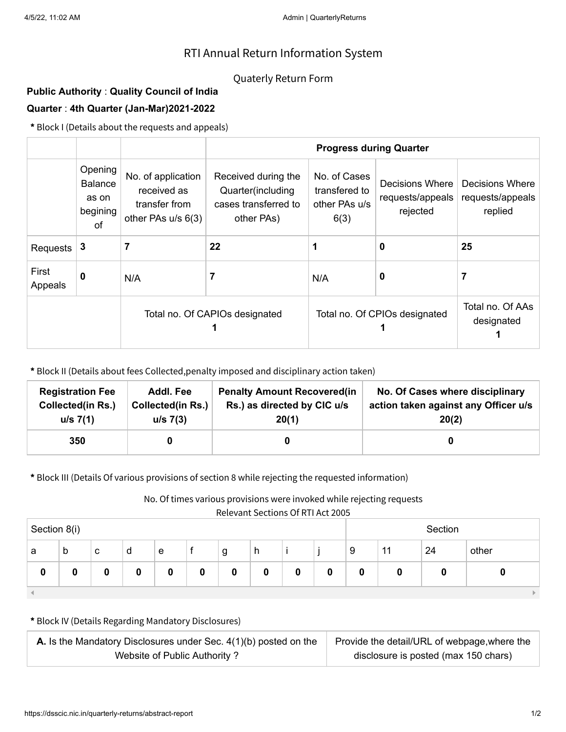## RTI Annual Return Information System

## Quaterly Return Form

## **Public Authority** : **Quality Council of India Quarter** : **4th Quarter (Jan-Mar)2021-2022**

**\*** Block I (Details about the requests and appeals)

|                  |                                                      |                                                                          | <b>Progress during Quarter</b>                                                 |                                                        |                                                 |                                                |  |  |
|------------------|------------------------------------------------------|--------------------------------------------------------------------------|--------------------------------------------------------------------------------|--------------------------------------------------------|-------------------------------------------------|------------------------------------------------|--|--|
|                  | Opening<br><b>Balance</b><br>as on<br>begining<br>0f | No. of application<br>received as<br>transfer from<br>other PAs u/s 6(3) | Received during the<br>Quarter(including<br>cases transferred to<br>other PAs) | No. of Cases<br>transfered to<br>other PAs u/s<br>6(3) | Decisions Where<br>requests/appeals<br>rejected | Decisions Where<br>requests/appeals<br>replied |  |  |
| Requests         | 3                                                    | 7                                                                        | 22                                                                             |                                                        | 0                                               | 25                                             |  |  |
| First<br>Appeals | 0                                                    | N/A                                                                      |                                                                                | N/A                                                    | 0                                               | 7                                              |  |  |
|                  |                                                      | Total no. Of CAPIOs designated                                           |                                                                                | Total no. Of CPIOs designated                          | Total no. Of AAs<br>designated                  |                                                |  |  |

**\*** Block II (Details about fees Collected,penalty imposed and disciplinary action taken)

| <b>Registration Fee</b>  | Addl. Fee                | <b>Penalty Amount Recovered(in</b> | No. Of Cases where disciplinary      |
|--------------------------|--------------------------|------------------------------------|--------------------------------------|
| <b>Collected(in Rs.)</b> | <b>Collected(in Rs.)</b> | Rs.) as directed by CIC u/s        | action taken against any Officer u/s |
| $u/s$ 7(1)               | $u/s$ 7(3)               | 20(1)                              | 20(2)                                |
| 350                      |                          |                                    |                                      |

**\*** Block III (Details Of various provisions of section 8 while rejecting the requested information)

No. Of times various provisions were invoked while rejecting requests

Relevant Sections Of RTI Act 2005

| Section 8(i) |   |   |   |   |  | Section |   |   |   |   |    |    |       |
|--------------|---|---|---|---|--|---------|---|---|---|---|----|----|-------|
| а            | b | c | d | e |  | g       | h |   |   | 9 | 11 | 24 | other |
| 0            | ν |   | 0 |   |  | 0       |   | 0 | 0 |   |    |    |       |
|              |   |   |   |   |  |         |   |   |   |   |    |    |       |

**\*** Block IV (Details Regarding Mandatory Disclosures)

| <b>A.</b> Is the Mandatory Disclosures under Sec. $4(1)(b)$ posted on the | Provide the detail/URL of webpage, where the |
|---------------------------------------------------------------------------|----------------------------------------------|
| Website of Public Authority?                                              | disclosure is posted (max 150 chars)         |